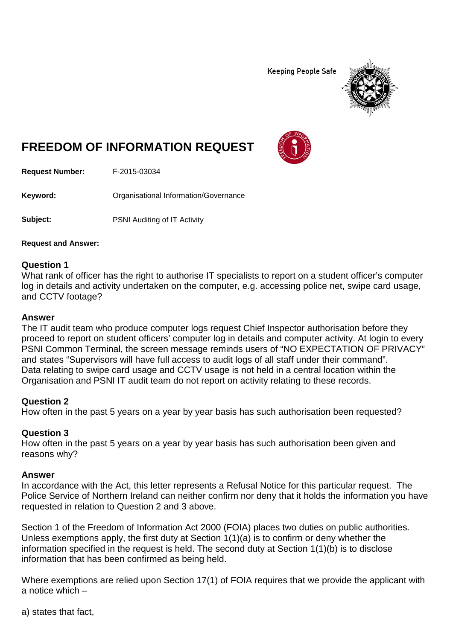**Keeping People Safe** 



# **FREEDOM OF INFORMATION REQUEST**

**Request Number:** F-2015-03034

Keyword: **Communists** Organisational Information/Governance

**Subject:** PSNI Auditing of IT Activity

**Request and Answer:**

## **Question 1**

What rank of officer has the right to authorise IT specialists to report on a student officer's computer log in details and activity undertaken on the computer, e.g. accessing police net, swipe card usage, and CCTV footage?

#### **Answer**

The IT audit team who produce computer logs request Chief Inspector authorisation before they proceed to report on student officers' computer log in details and computer activity. At login to every PSNI Common Terminal, the screen message reminds users of "NO EXPECTATION OF PRIVACY" and states "Supervisors will have full access to audit logs of all staff under their command". Data relating to swipe card usage and CCTV usage is not held in a central location within the Organisation and PSNI IT audit team do not report on activity relating to these records.

## **Question 2**

How often in the past 5 years on a year by year basis has such authorisation been requested?

## **Question 3**

How often in the past 5 years on a year by year basis has such authorisation been given and reasons why?

#### **Answer**

In accordance with the Act, this letter represents a Refusal Notice for this particular request. The Police Service of Northern Ireland can neither confirm nor deny that it holds the information you have requested in relation to Question 2 and 3 above.

Section 1 of the Freedom of Information Act 2000 (FOIA) places two duties on public authorities. Unless exemptions apply, the first duty at Section 1(1)(a) is to confirm or deny whether the information specified in the request is held. The second duty at Section 1(1)(b) is to disclose information that has been confirmed as being held.

Where exemptions are relied upon Section 17(1) of FOIA requires that we provide the applicant with a notice which –

a) states that fact,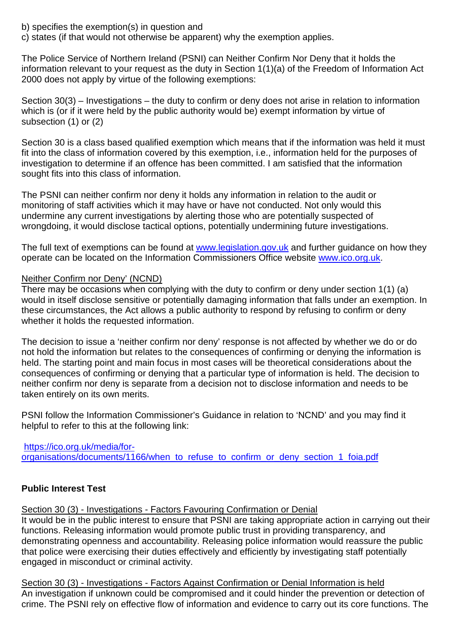b) specifies the exemption(s) in question and

c) states (if that would not otherwise be apparent) why the exemption applies.

The Police Service of Northern Ireland (PSNI) can Neither Confirm Nor Deny that it holds the information relevant to your request as the duty in Section 1(1)(a) of the Freedom of Information Act 2000 does not apply by virtue of the following exemptions:

Section 30(3) – Investigations – the duty to confirm or deny does not arise in relation to information which is (or if it were held by the public authority would be) exempt information by virtue of subsection (1) or (2)

Section 30 is a class based qualified exemption which means that if the information was held it must fit into the class of information covered by this exemption, i.e., information held for the purposes of investigation to determine if an offence has been committed. I am satisfied that the information sought fits into this class of information.

The PSNI can neither confirm nor deny it holds any information in relation to the audit or monitoring of staff activities which it may have or have not conducted. Not only would this undermine any current investigations by alerting those who are potentially suspected of wrongdoing, it would disclose tactical options, potentially undermining future investigations.

The full text of exemptions can be found at [www.legislation.gov.uk](http://www.legislation.gov.uk/) and further guidance on how they operate can be located on the Information Commissioners Office website [www.ico.org.uk.](http://www.ico.org.uk/)

## Neither Confirm nor Deny' (NCND)

There may be occasions when complying with the duty to confirm or deny under section 1(1) (a) would in itself disclose sensitive or potentially damaging information that falls under an exemption. In these circumstances, the Act allows a public authority to respond by refusing to confirm or deny whether it holds the requested information.

The decision to issue a 'neither confirm nor deny' response is not affected by whether we do or do not hold the information but relates to the consequences of confirming or denying the information is held. The starting point and main focus in most cases will be theoretical considerations about the consequences of confirming or denying that a particular type of information is held. The decision to neither confirm nor deny is separate from a decision not to disclose information and needs to be taken entirely on its own merits.

PSNI follow the Information Commissioner's Guidance in relation to 'NCND' and you may find it helpful to refer to this at the following link:

[https://ico.org.uk/media/for](https://ico.org.uk/media/for-organisations/documents/1166/when_to_refuse_to_confirm_or_deny_section_1_foia.pdf)[organisations/documents/1166/when\\_to\\_refuse\\_to\\_confirm\\_or\\_deny\\_section\\_1\\_foia.pdf](https://ico.org.uk/media/for-organisations/documents/1166/when_to_refuse_to_confirm_or_deny_section_1_foia.pdf)

# **Public Interest Test**

Section 30 (3) - Investigations - Factors Favouring Confirmation or Denial

It would be in the public interest to ensure that PSNI are taking appropriate action in carrying out their functions. Releasing information would promote public trust in providing transparency, and demonstrating openness and accountability. Releasing police information would reassure the public that police were exercising their duties effectively and efficiently by investigating staff potentially engaged in misconduct or criminal activity.

Section 30 (3) - Investigations - Factors Against Confirmation or Denial Information is held An investigation if unknown could be compromised and it could hinder the prevention or detection of crime. The PSNI rely on effective flow of information and evidence to carry out its core functions. The